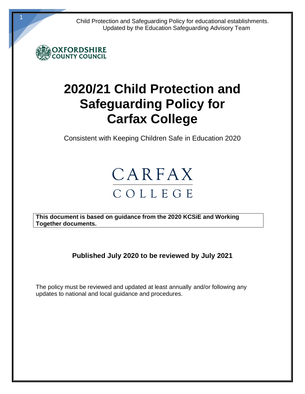Child Protection and Safeguarding Policy for educational establishments. Updated by the Education Safeguarding Advisory Team



1

# **2020/21 Child Protection and Safeguarding Policy for Carfax College**

Consistent with Keeping Children Safe in Education 2020



**This document is based on guidance from the 2020 KCSiE and Working Together documents.** 

**Published July 2020 to be reviewed by July 2021**

The policy must be reviewed and updated at least annually and/or following any updates to national and local guidance and procedures.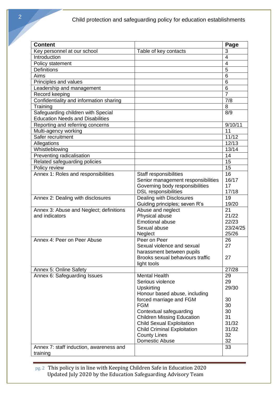| <b>Content</b>                                            |                                       | Page           |
|-----------------------------------------------------------|---------------------------------------|----------------|
| Key personnel at our school                               | Table of key contacts                 | 3              |
| Introduction                                              |                                       | 4              |
| Policy statement                                          |                                       | $\overline{4}$ |
| <b>Definitions</b>                                        |                                       | 5              |
| Aims                                                      |                                       | 6              |
| Principles and values                                     |                                       | 6              |
| Leadership and management                                 |                                       | 6              |
| Record keeping                                            |                                       | $\overline{7}$ |
| Confidentiality and information sharing                   |                                       | 7/8            |
| Training                                                  |                                       | 8              |
| Safeguarding children with Special                        |                                       | 8/9            |
| <b>Education Needs and Disabilities</b>                   |                                       |                |
| Reporting and referring concerns                          |                                       | 9/10/11        |
| Multi-agency working                                      |                                       | 11             |
| Safer recruitment                                         |                                       | 11/12          |
| Allegations                                               |                                       | 12/13          |
| Whistleblowing                                            |                                       | 13/14          |
| Preventing radicalisation                                 |                                       | 14             |
| Related safeguarding policies                             |                                       | 15             |
| Policy review                                             |                                       | 15             |
| Annex 1: Roles and responsibilities                       | Staff responsibilities                | 16             |
|                                                           | Senior management responsibilities    | 16/17          |
|                                                           | Governing body responsibilities       | 17             |
|                                                           | <b>DSL</b> responsibilities           | 17/18          |
| Annex 2: Dealing with disclosures                         | Dealing with Disclosures              | 19             |
|                                                           | Guiding principles; seven R's         | 19/20<br>21    |
| Annex 3: Abuse and Neglect; definitions<br>and indicators | Abuse and neglect<br>Physical abuse   | 21/22          |
|                                                           | <b>Emotional abuse</b>                | 22/23          |
|                                                           | Sexual abuse                          | 23/24/25       |
|                                                           | Neglect                               | 25/26          |
| Annex 4: Peer on Peer Abuse                               | Peer on Peer                          | 26             |
|                                                           | Sexual violence and sexual            | 27             |
|                                                           | harassment between pupils             |                |
|                                                           | Brooks sexual behaviours traffic      | 27             |
|                                                           | light tools                           |                |
| Annex 5: Online Safety                                    |                                       | 27/28          |
| Annex 6: Safeguarding Issues                              | <b>Mental Health</b>                  | 29             |
|                                                           | Serious violence                      | 29             |
|                                                           | Upskirting                            | 29/30          |
|                                                           | Honour based abuse, including         |                |
|                                                           | forced marriage and FGM               | 30             |
|                                                           | <b>FGM</b>                            | 30             |
|                                                           | Contextual safeguarding               | 30             |
|                                                           | <b>Children Missing Education</b>     | 31             |
|                                                           | <b>Child Sexual Exploitation</b>      | 31/32          |
|                                                           | <b>Child Criminal Exploitation</b>    | 31/32          |
|                                                           | <b>County Lines</b><br>Domestic Abuse | 32<br>32       |
| Annex 7: staff induction, awareness and                   |                                       | 33             |
|                                                           |                                       |                |
| training                                                  |                                       |                |

pg. 2 This policy is in line with Keeping Children Safe in Education 2020 Updated July 2020 by the Education Safeguarding Advisory Team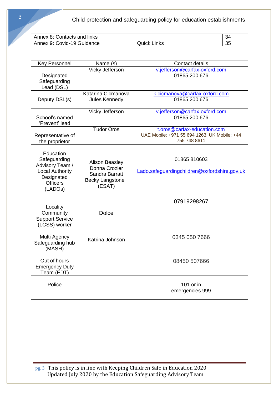| Annex 8: Contacts and links |                  | 34      |
|-----------------------------|------------------|---------|
| Annex 9: Covid-19 Guidance  | ː Links<br>Quick | つに<br>ິ |

| <b>Key Personnel</b>                                                                                                            | Name (s)                                                                                     | <b>Contact details</b>                                                                      |
|---------------------------------------------------------------------------------------------------------------------------------|----------------------------------------------------------------------------------------------|---------------------------------------------------------------------------------------------|
| Designated<br>Safeguarding<br>Lead (DSL)                                                                                        | Vicky Jefferson                                                                              | v.jefferson@carfax-oxford.com<br>01865 200 676                                              |
| Deputy DSL(s)                                                                                                                   | Katarina Cicmanova<br>Jules Kennedy                                                          | k.cicmanova@carfax-oxford.com<br>01865 200 676                                              |
| School's named<br>'Prevent' lead                                                                                                | Vicky Jefferson                                                                              | v.jefferson@carfax-oxford.com<br>01865 200 676                                              |
| Representative of<br>the proprietor                                                                                             | <b>Tudor Oros</b>                                                                            | t.oros@carfax-education.com<br>UAE Mobile: +971 55 694 1263, UK Mobile: +44<br>755 748 8611 |
| Education<br>Safeguarding<br>Advisory Team /<br><b>Local Authority</b><br>Designated<br><b>Officers</b><br>(LADO <sub>s</sub> ) | <b>Alison Beasley</b><br>Donna Crozier<br>Sandra Barratt<br><b>Becky Langstone</b><br>(ESAT) | 01865 810603<br>Lado.safeguardingchildren@oxfordshire.gov.uk                                |
| Locality<br>Community<br><b>Support Service</b><br>(LCSS) worker                                                                | <b>Dolce</b>                                                                                 | 07919298267                                                                                 |
| Multi Agency<br>Safeguarding hub<br>(MASH)                                                                                      | Katrina Johnson                                                                              | 0345 050 7666                                                                               |
| Out of hours<br><b>Emergency Duty</b><br>Team (EDT)                                                                             |                                                                                              | 08450 507666                                                                                |
| Police                                                                                                                          |                                                                                              | 101 or in<br>emergencies 999                                                                |

pg. 3 This policy is in line with Keeping Children Safe in Education 2020 Updated July 2020 by the Education Safeguarding Advisory Team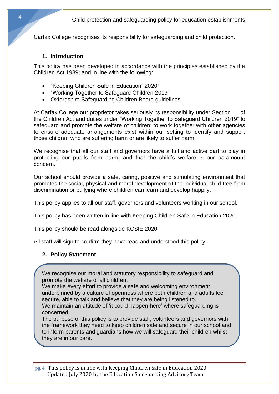Carfax College recognises its responsibility for safeguarding and child protection.

#### **1. Introduction**

This policy has been developed in accordance with the principles established by the Children Act 1989; and in line with the following:

- "Keeping Children Safe in Education" 2020"
- "Working Together to Safeguard Children 2019"
- Oxfordshire Safeguarding Children Board guidelines

At Carfax College our proprietor takes seriously its responsibility under Section 11 of the Children Act and duties under "Working Together to Safeguard Children 2019" to safeguard and promote the welfare of children; to work together with other agencies to ensure adequate arrangements exist within our setting to identify and support those children who are suffering harm or are likely to suffer harm.

We recognise that all our staff and governors have a full and active part to play in protecting our pupils from harm, and that the child's welfare is our paramount concern.

Our school should provide a safe, caring, positive and stimulating environment that promotes the social, physical and moral development of the individual child free from discrimination or bullying where children can learn and develop happily.

This policy applies to all our staff, governors and volunteers working in our school.

This policy has been written in line with Keeping Children Safe in Education 2020

This policy should be read alongside KCSIE 2020.

All staff will sign to confirm they have read and understood this policy.

## **2. Policy Statement**

**3. Definitions**

We recognise our moral and statutory responsibility to safeguard and promote the welfare of all children.

We make every effort to provide a safe and welcoming environment underpinned by a culture of openness where both children and adults feel secure, able to talk and believe that they are being listened to. We maintain an attitude of 'it could happen here' where safeguarding is

concerned.

The purpose of this policy is to provide staff, volunteers and governors with the framework they need to keep children safe and secure in our school and to inform parents and guardians how we will safeguard their children whilst they are in our care.

pg. 4 This policy is in line with Keeping Children Safe in Education 2020 Updated July 2020 by the Education Safeguarding Advisory Team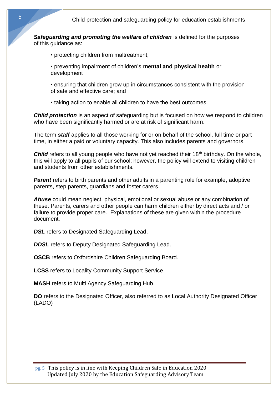*Safeguarding and promoting the welfare of children* is defined for the purposes of this guidance as:

- protecting children from maltreatment;
- preventing impairment of children's **mental and physical health** or development
- ensuring that children grow up in circumstances consistent with the provision of safe and effective care; and
- taking action to enable all children to have the best outcomes.

*Child protection* is an aspect of safeguarding but is focused on how we respond to children who have been significantly harmed or are at risk of significant harm.

The term *staff* applies to all those working for or on behalf of the school, full time or part time, in either a paid or voluntary capacity. This also includes parents and governors.

**Child** refers to all young people who have not yet reached their 18<sup>th</sup> birthday. On the whole, this will apply to all pupils of our school; however, the policy will extend to visiting children and students from other establishments.

**Parent** refers to birth parents and other adults in a parenting role for example, adoptive parents, step parents, guardians and foster carers.

*Abuse* could mean neglect, physical, emotional or sexual abuse or any combination of these. Parents, carers and other people can harm children either by direct acts and / or failure to provide proper care. Explanations of these are given within the procedure document.

**DSL** refers to Designated Safeguarding Lead.

**DDSL** refers to Deputy Designated Safeguarding Lead.

**OSCB** refers to Oxfordshire Children Safeguarding Board.

**LCSS** refers to Locality Community Support Service.

**MASH** refers to Multi Agency Safeguarding Hub.

**DO** refers to the Designated Officer, also referred to as Local Authority Designated Officer (LADO)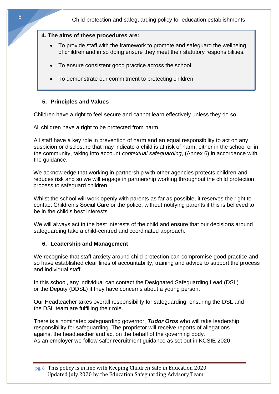#### **4. The aims of these procedures are:**

- To provide staff with the framework to promote and safeguard the wellbeing of children and in so doing ensure they meet their statutory responsibilities.
- To ensure consistent good practice across the school.
- To demonstrate our commitment to protecting children.

## **5. Principles and Values**

Children have a right to feel secure and cannot learn effectively unless they do so.

All children have a right to be protected from harm.

All staff have a key role in prevention of harm and an equal responsibility to act on any suspicion or disclosure that may indicate a child is at risk of harm, either in the school or in the community, taking into account *contextual safeguarding*, (Annex 6) in accordance with the guidance.

We acknowledge that working in partnership with other agencies protects children and reduces risk and so we will engage in partnership working throughout the child protection process to safeguard children.

Whilst the school will work openly with parents as far as possible, it reserves the right to contact Children's Social Care or the police, without notifying parents if this is believed to be in the child's best interests.

We will always act in the best interests of the child and ensure that our decisions around safeguarding take a child-centred and coordinated approach.

#### **6. Leadership and Management**

We recognise that staff anxiety around child protection can compromise good practice and so have established clear lines of accountability, training and advice to support the process and individual staff.

In this school, any individual can contact the Designated Safeguarding Lead (DSL) or the Deputy (DDSL) if they have concerns about a young person.

Our Headteacher takes overall responsibility for safeguarding, ensuring the DSL and the DSL team are fulfilling their role.

There is a nominated safeguarding governor, *Tudor Oros* who will take leadership responsibility for safeguarding. The proprietor will receive reports of allegations against the headteacher and act on the behalf of the governing body. As an employer we follow safer recruitment guidance as set out in KCSIE 2020

pg. 6 This policy is in line with Keeping Children Safe in Education 2020 Updated July 2020 by the Education Safeguarding Advisory Team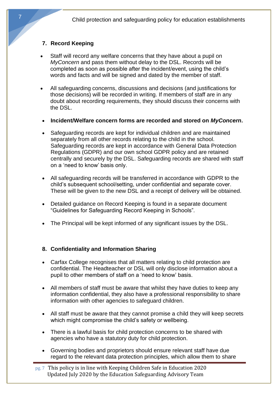# **7. Record Keeping**

- Staff will record any welfare concerns that they have about a pupil on *MyConcern* and pass them without delay to the DSL. Records will be completed as soon as possible after the incident/event, using the child's words and facts and will be signed and dated by the member of staff.
- All safeguarding concerns, discussions and decisions (and justifications for those decisions) will be recorded in writing. If members of staff are in any doubt about recording requirements, they should discuss their concerns with the DSL.
- **Incident/Welfare concern forms are recorded and stored on** *MyConcern***.**
- Safeguarding records are kept for individual children and are maintained separately from all other records relating to the child in the school. Safeguarding records are kept in accordance with General Data Protection Regulations (GDPR) and our own school GDPR policy and are retained centrally and securely by the DSL. Safeguarding records are shared with staff on a 'need to know' basis only.
- All safeguarding records will be transferred in accordance with GDPR to the child's subsequent school/setting, under confidential and separate cover. These will be given to the new DSL and a receipt of delivery will be obtained.
- Detailed guidance on Record Keeping is found in a separate document "Guidelines for Safeguarding Record Keeping in Schools"*.*
- The Principal will be kept informed of any significant issues by the DSL.

## **8. Confidentiality and Information Sharing**

- Carfax College recognises that all matters relating to child protection are confidential. The Headteacher or DSL will only disclose information about a pupil to other members of staff on a 'need to know' basis.
- All members of staff must be aware that whilst they have duties to keep any information confidential, they also have a professional responsibility to share information with other agencies to safeguard children.
- All staff must be aware that they cannot promise a child they will keep secrets which might compromise the child's safety or wellbeing.
- There is a lawful basis for child protection concerns to be shared with agencies who have a statutory duty for child protection.
- Governing bodies and proprietors should ensure relevant staff have due regard to the relevant data protection principles, which allow them to share

pg. 7 This policy is in line with Keeping Children Safe in Education 2020 Updated July 2020 by the Education Safeguarding Advisory Team

7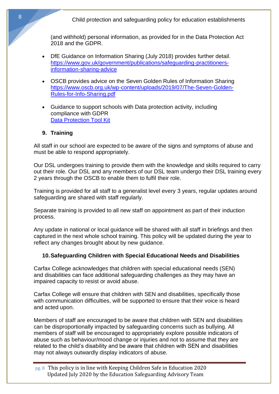(and withhold) personal information, as provided for in the Data Protection Act 2018 and the GDPR.

- DfE Guidance on Information Sharing (July 2018) provides further detail. [https://www.gov.uk/government/publications/safeguarding-practitioners](https://www.gov.uk/government/publications/safeguarding-practitioners-information-sharing-advice)[information-sharing-advice](https://www.gov.uk/government/publications/safeguarding-practitioners-information-sharing-advice)
- OSCB provides advice on the Seven Golden Rules of Information Sharing [https://www.oscb.org.uk/wp-content/uploads/2019/07/The-Seven-Golden-](https://www.oscb.org.uk/wp-content/uploads/2019/07/The-Seven-Golden-Rules-for-Info-Sharing.pdf)[Rules-for-Info-Sharing.pdf](https://www.oscb.org.uk/wp-content/uploads/2019/07/The-Seven-Golden-Rules-for-Info-Sharing.pdf)
- Guidance to support schools with Data protection activity, including compliance with GDPR [Data Protection Tool Kit](https://www.gov.uk/government/publications/data-protection-toolkit-for-schools)

#### **9. Training**

All staff in our school are expected to be aware of the signs and symptoms of abuse and must be able to respond appropriately.

Our DSL undergoes training to provide them with the knowledge and skills required to carry out their role. Our DSL and any members of our DSL team undergo their DSL training every 2 years through the OSCB to enable them to fulfil their role.

Training is provided for all staff to a generalist level every 3 years, regular updates around safeguarding are shared with staff regularly.

Separate training is provided to all new staff on appointment as part of their induction process.

Any update in national or local guidance will be shared with all staff in briefings and then captured in the next whole school training. This policy will be updated during the year to reflect any changes brought about by new guidance.

#### **10.Safeguarding Children with Special Educational Needs and Disabilities**

Carfax College acknowledges that children with special educational needs (SEN) and disabilities can face additional safeguarding challenges as they may have an impaired capacity to resist or avoid abuse.

Carfax College will ensure that children with SEN and disabilities, specifically those with communication difficulties, will be supported to ensure that their voice is heard and acted upon.

Members of staff are encouraged to be aware that children with SEN and disabilities can be disproportionally impacted by safeguarding concerns such as bullying. All members of staff will be encouraged to appropriately explore possible indicators of abuse such as behaviour/mood change or injuries and not to assume that they are related to the child's disability and be aware that children with SEN and disabilities may not always outwardly display indicators of abuse.

pg. 8 This policy is in line with Keeping Children Safe in Education 2020 Updated July 2020 by the Education Safeguarding Advisory Team

8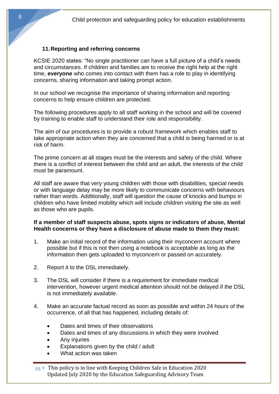#### **11.Reporting and referring concerns**

KCSIE 2020 states: "No single practitioner can have a full picture of a child's needs and circumstances. If children and families are to receive the right help at the right time, **everyone** who comes into contact with them has a role to play in identifying concerns, sharing information and taking prompt action.

In our school we recognise the importance of sharing information and reporting concerns to help ensure children are protected.

The following procedures apply to all staff working in the school and will be covered by training to enable staff to understand their role and responsibility.

The aim of our procedures is to provide a robust framework which enables staff to take appropriate action when they are concerned that a child is being harmed or is at risk of harm.

The prime concern at all stages must be the interests and safety of the child. Where there is a conflict of interest between the child and an adult, the interests of the child must be paramount.

All staff are aware that very young children with those with disabilities, special needs or with language delay may be more likely to communicate concerns with behaviours rather than words. Additionally, staff will question the cause of knocks and bumps in children who have limited mobility which will include children visiting the site as well as those who are pupils.

#### **If a member of staff suspects abuse, spots signs or indicators of abuse, Mental Health concerns or they have a disclosure of abuse made to them they must:**

- 1. Make an initial record of the information using their myconcern account where possible but if this is not then using a notebook is acceptable as long as the information then gets uploaded to myconcern or passed on accurately.
- 2. Report it to the DSL immediately.
- 3. The DSL will consider if there is a requirement for immediate medical intervention, however urgent medical attention should not be delayed if the DSL is not immediately available.
- 4. Make an accurate factual record as soon as possible and within 24 hours of the occurrence, of all that has happened, including details of:
	- Dates and times of their observations
	- Dates and times of any discussions in which they were involved
	- Any injuries
	- Explanations given by the child / adult
	- What action was taken

pg. 9 This policy is in line with Keeping Children Safe in Education 2020 Updated July 2020 by the Education Safeguarding Advisory Team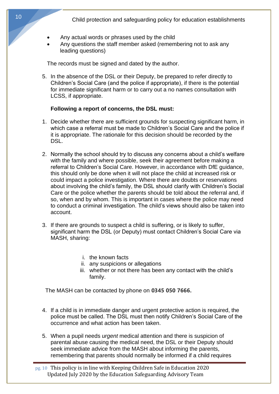- Any actual words or phrases used by the child
- Any questions the staff member asked (remembering not to ask any leading questions)

The records must be signed and dated by the author.

5. In the absence of the DSL or their Deputy, be prepared to refer directly to Children's Social Care (and the police if appropriate), if there is the potential for immediate significant harm or to carry out a no names consultation with LCSS, if appropriate.

#### **Following a report of concerns, the DSL must:**

- 1. Decide whether there are sufficient grounds for suspecting significant harm, in which case a referral must be made to Children's Social Care and the police if it is appropriate. The rationale for this decision should be recorded by the DSL.
- 2. Normally the school should try to discuss any concerns about a child's welfare with the family and where possible, seek their agreement before making a referral to Children's Social Care. However, in accordance with DfE guidance, this should only be done when it will not place the child at increased risk or could impact a police investigation. Where there are doubts or reservations about involving the child's family, the DSL should clarify with Children's Social Care or the police whether the parents should be told about the referral and, if so, when and by whom. This is important in cases where the police may need to conduct a criminal investigation. The child's views should also be taken into account.
- 3. If there are grounds to suspect a child is suffering, or is likely to suffer, significant harm the DSL (or Deputy) must contact Children's Social Care via MASH, sharing:
	- i. the known facts
	- ii. any suspicions or allegations
	- iii. whether or not there has been any contact with the child's family.

The MASH can be contacted by phone on **0345 050 7666.**

- 4. If a child is in immediate danger and urgent protective action is required, the police must be called. The DSL must then notify Children's Social Care of the occurrence and what action has been taken.
- 5. When a pupil needs *urgent* medical attention and there is suspicion of parental abuse causing the medical need, the DSL or their Deputy should seek immediate advice from the MASH about informing the parents, remembering that parents should normally be informed if a child requires

pg. 10 This policy is in line with Keeping Children Safe in Education 2020 Updated July 2020 by the Education Safeguarding Advisory Team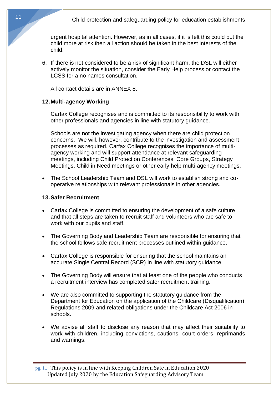urgent hospital attention. However, as in all cases, if it is felt this could put the child more at risk then all action should be taken in the best interests of the child.

6. If there is not considered to be a risk of significant harm, the DSL will either actively monitor the situation, consider the Early Help process or contact the LCSS for a no names consultation.

All contact details are in ANNEX 8.

#### **12.Multi-agency Working**

Carfax College recognises and is committed to its responsibility to work with other professionals and agencies in line with statutory guidance.

Schools are not the investigating agency when there are child protection concerns. We will, however, contribute to the investigation and assessment processes as required. Carfax College recognises the importance of multiagency working and will support attendance at relevant safeguarding meetings, including Child Protection Conferences, Core Groups, Strategy Meetings, Child in Need meetings or other early help multi-agency meetings.

• The School Leadership Team and DSL will work to establish strong and cooperative relationships with relevant professionals in other agencies.

#### **13.Safer Recruitment**

- Carfax College is committed to ensuring the development of a safe culture and that all steps are taken to recruit staff and volunteers who are safe to work with our pupils and staff.
- The Governing Body and Leadership Team are responsible for ensuring that the school follows safe recruitment processes outlined within guidance.
- Carfax College is responsible for ensuring that the school maintains an accurate Single Central Record (SCR) in line with statutory guidance.
- The Governing Body will ensure that at least one of the people who conducts a recruitment interview has completed safer recruitment training.
- We are also committed to supporting the statutory guidance from the Department for Education on the application of the Childcare (Disqualification) Regulations 2009 and related obligations under the Childcare Act 2006 in schools.
- We advise all staff to disclose any reason that may affect their suitability to work with children, including convictions, cautions, court orders, reprimands and warnings.

pg. 11 This policy is in line with Keeping Children Safe in Education 2020 Updated July 2020 by the Education Safeguarding Advisory Team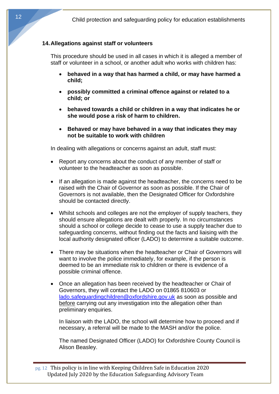#### **14.Allegations against staff or volunteers**

This procedure should be used in all cases in which it is alleged a member of staff or volunteer in a school, or another adult who works with children has:

- **behaved in a way that has harmed a child, or may have harmed a child;**
- **possibly committed a criminal offence against or related to a child; or**
- **behaved towards a child or children in a way that indicates he or she would pose a risk of harm to children.**
- **Behaved or may have behaved in a way that indicates they may not be suitable to work with children**

In dealing with allegations or concerns against an adult, staff must:

- Report any concerns about the conduct of any member of staff or volunteer to the headteacher as soon as possible.
- If an allegation is made against the headteacher, the concerns need to be raised with the Chair of Governor as soon as possible. If the Chair of Governors is not available, then the Designated Officer for Oxfordshire should be contacted directly.
- Whilst schools and colleges are not the employer of supply teachers, they should ensure allegations are dealt with properly. In no circumstances should a school or college decide to cease to use a supply teacher due to safeguarding concerns, without finding out the facts and liaising with the local authority designated officer (LADO) to determine a suitable outcome.
- There may be situations when the headteacher or Chair of Governors will want to involve the police immediately, for example, if the person is deemed to be an immediate risk to children or there is evidence of a possible criminal offence.
- Once an allegation has been received by the headteacher or Chair of Governors, they will contact the LADO on 01865 810603 or [lado.safeguardingchildren@oxfordshire.gov.uk](mailto:lado.safeguardingchildren@oxfordshire.gov.uk) as soon as possible and before carrying out any investigation into the allegation other than preliminary enquiries.

In liaison with the LADO, the school will determine how to proceed and if necessary, a referral will be made to the MASH and/or the police.

The named Designated Officer (LADO) for Oxfordshire County Council is Alison Beasley.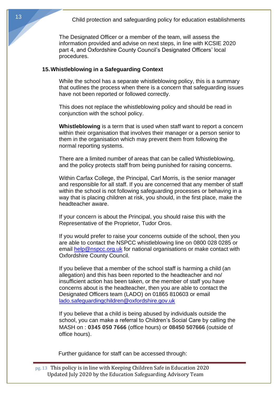The Designated Officer or a member of the team, will assess the information provided and advise on next steps, in line with KCSIE 2020 part 4, and Oxfordshire County Council's Designated Officers' local procedures.

#### **15.Whistleblowing in a Safeguarding Context**

While the school has a separate whistleblowing policy, this is a summary that outlines the process when there is a concern that safeguarding issues have not been reported or followed correctly.

This does not replace the whistleblowing policy and should be read in conjunction with the school policy.

**Whistleblowing** is a term that is used when staff want to report a concern within their organisation that involves their manager or a person senior to them in the organisation which may prevent them from following the normal reporting systems.

There are a limited number of areas that can be called Whistleblowing, and the policy protects staff from being punished for raising concerns.

Within Carfax College, the Principal, Carl Morris, is the senior manager and responsible for all staff. If you are concerned that any member of staff within the school is not following safeguarding processes or behaving in a way that is placing children at risk, you should, in the first place, make the headteacher aware.

If your concern is about the Principal, you should raise this with the Representative of the Proprietor, Tudor Oros.

If you would prefer to raise your concerns outside of the school, then you are able to contact the NSPCC whistleblowing line on 0800 028 0285 or email [help@nspcc.org.uk](mailto:help@nspcc.org.uk) for national organisations or make contact with Oxfordshire County Council.

If you believe that a member of the school staff is harming a child (an allegation) and this has been reported to the headteacher and no/ insufficient action has been taken, or the member of staff you have concerns about is the headteacher, then you are able to contact the Designated Officers team (LADO) on 01865 810603 or email [lado.safeguardingchildren@oxfordshire.gov.uk](mailto:lado.safeguardingchildren@oxfordshire.gov.uk)

If you believe that a child is being abused by individuals outside the school, you can make a referral to Children's Social Care by calling the MASH on : **0345 050 7666** (office hours) or **08450 507666** (outside of office hours).

Further guidance for staff can be accessed through: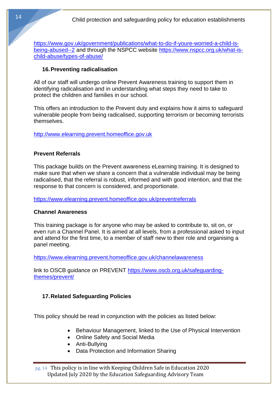[https://www.gov.uk/government/publications/what-to-do-if-youre-worried-a-child-is](https://www.gov.uk/government/publications/what-to-do-if-youre-worried-a-child-is-being-abused--2)[being-abused--2](https://www.gov.uk/government/publications/what-to-do-if-youre-worried-a-child-is-being-abused--2) and through the NSPCC website [https://www.nspcc.org.uk/what-is](https://www.nspcc.org.uk/what-is-child-abuse/types-of-abuse/)[child-abuse/types-of-abuse/](https://www.nspcc.org.uk/what-is-child-abuse/types-of-abuse/)

#### **16.Preventing radicalisation**

All of our staff will undergo online Prevent Awareness training to support them in identifying radicalisation and in understanding what steps they need to take to protect the children and families in our school.

This offers an introduction to the Prevent duty and explains how it aims to safeguard vulnerable people from being radicalised, supporting terrorism or becoming terrorists themselves.

[http://www.elearning.prevent.homeoffice.gov.uk](http://www.elearning.prevent.homeoffice.gov.uk/)

#### **Prevent Referrals**

This package builds on the Prevent awareness eLearning training. It is designed to make sure that when we share a concern that a vulnerable individual may be being radicalised, that the referral is robust, informed and with good intention, and that the response to that concern is considered, and proportionate.

<https://www.elearning.prevent.homeoffice.gov.uk/preventreferrals>

#### **Channel Awareness**

This training package is for anyone who may be asked to contribute to, sit on, or even run a Channel Panel. It is aimed at all levels, from a professional asked to input and attend for the first time, to a member of staff new to their role and organising a panel meeting.

<https://www.elearning.prevent.homeoffice.gov.uk/channelawareness>

link to OSCB guidance on PREVENT [https://www.oscb.org.uk/safeguarding](https://www.oscb.org.uk/safeguarding-themes/prevent/)[themes/prevent/](https://www.oscb.org.uk/safeguarding-themes/prevent/)

#### **17.Related Safeguarding Policies**

This policy should be read in conjunction with the policies as listed below:

- Behaviour Management, linked to the Use of Physical Intervention
- Online Safety and Social Media
- Anti-Bullying
- Data Protection and Information Sharing

pg. 14 This policy is in line with Keeping Children Safe in Education 2020 Updated July 2020 by the Education Safeguarding Advisory Team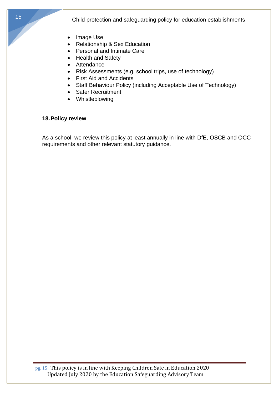- Image Use
- Relationship & Sex Education
- Personal and Intimate Care
- Health and Safety
- **Attendance**
- Risk Assessments (e.g. school trips, use of technology)
- First Aid and Accidents
- Staff Behaviour Policy (including Acceptable Use of Technology)
- Safer Recruitment
- Whistleblowing

#### **18.Policy review**

As a school, we review this policy at least annually in line with DfE, OSCB and OCC requirements and other relevant statutory guidance.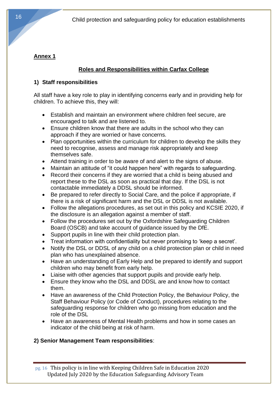# **Annex 1**

# **Roles and Responsibilities within Carfax College**

# **1) Staff responsibilities**

All staff have a key role to play in identifying concerns early and in providing help for children. To achieve this, they will:

- Establish and maintain an environment where children feel secure, are encouraged to talk and are listened to.
- Ensure children know that there are adults in the school who they can approach if they are worried or have concerns.
- Plan opportunities within the curriculum for children to develop the skills they need to recognise, assess and manage risk appropriately and keep themselves safe.
- Attend training in order to be aware of and alert to the signs of abuse.
- Maintain an attitude of "it could happen here" with regards to safeguarding.
- Record their concerns if they are worried that a child is being abused and report these to the DSL as soon as practical that day. If the DSL is not contactable immediately a DDSL should be informed.
- Be prepared to refer directly to Social Care, and the police if appropriate, if there is a risk of significant harm and the DSL or DDSL is not available.
- Follow the allegations procedures, as set out in this policy and KCSIE 2020, if the disclosure is an allegation against a member of staff.
- Follow the procedures set out by the Oxfordshire Safeguarding Children Board (OSCB) and take account of guidance issued by the DfE.
- Support pupils in line with their child protection plan.
- Treat information with confidentiality but never promising to 'keep a secret'.
- Notify the DSL or DDSL of any child on a child protection plan or child in need plan who has unexplained absence.
- Have an understanding of Early Help and be prepared to identify and support children who may benefit from early help.
- Liaise with other agencies that support pupils and provide early help.
- Ensure they know who the DSL and DDSL are and know how to contact them.
- Have an awareness of the Child Protection Policy, the Behaviour Policy, the Staff Behaviour Policy (or Code of Conduct), procedures relating to the safeguarding response for children who go missing from education and the role of the DSL
- Have an awareness of Mental Health problems and how in some cases an indicator of the child being at risk of harm.

# **2) Senior Management Team responsibilities**:

pg. 16 This policy is in line with Keeping Children Safe in Education 2020 Updated July 2020 by the Education Safeguarding Advisory Team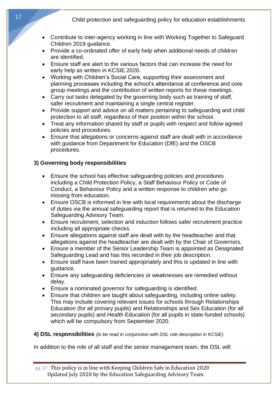- Contribute to inter-agency working in line with Working Together to Safeguard Children 2019 guidance.
- Provide a co-ordinated offer of early help when additional needs of children are identified.
- Ensure staff are alert to the various factors that can increase the need for early help as written in KCSIE 2020.
- Working with Children's Social Care, supporting their assessment and planning processes including the school's attendance at conference and core group meetings and the contribution of written reports for these meetings.
- Carry out tasks delegated by the governing body such as training of staff, safer recruitment and maintaining a single central register.
- Provide support and advice on all matters pertaining to safeguarding and child protection to all staff, regardless of their position within the school.
- Treat any information shared by staff or pupils with respect and follow agreed policies and procedures.
- Ensure that allegations or concerns against staff are dealt with in accordance with guidance from Department for Education (DfE) and the OSCB procedures.

# **3) Governing body responsibilities**

- Ensure the school has effective safeguarding policies and procedures including a Child Protection Policy, a Staff Behaviour Policy or Code of Conduct, a Behaviour Policy and a written response to children who go missing from education.
- Ensure OSCB is informed in line with local requirements about the discharge of duties via the annual safeguarding report that is returned to the Education Safeguarding Advisory Team.
- Ensure recruitment, selection and induction follows safer recruitment practice including all appropriate checks.
- Ensure allegations against staff are dealt with by the headteacher and that allegations against the headteacher are dealt with by the Chair of Governors.
- Ensure a member of the Senior Leadership Team is appointed as Designated Safeguarding Lead and has this recorded in their job description.
- Ensure staff have been trained appropriately and this is updated in line with guidance.
- Ensure any safeguarding deficiencies or weaknesses are remedied without delay.
- Ensure a nominated governor for safeguarding is identified.
- Ensure that children are taught about safeguarding, including online safety. This may include covering relevant issues for schools through Relationships Education (for all primary pupils) and Relationships and Sex Education (for all secondary pupils) and Health Education (for all pupils in state-funded schools) which will be compulsory from September 2020.

## **4) DSL responsibilities** *(to be read in conjunction with DSL role description in KCSiE)*

In addition to the role of all staff and the senior management team, the DSL will: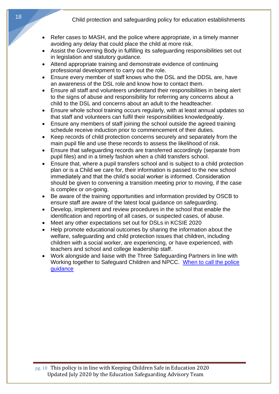- Refer cases to MASH, and the police where appropriate, in a timely manner avoiding any delay that could place the child at more risk.
- Assist the Governing Body in fulfilling its safeguarding responsibilities set out in legislation and statutory guidance.
- Attend appropriate training and demonstrate evidence of continuing professional development to carry out the role.
- Ensure every member of staff knows who the DSL and the DDSL are, have an awareness of the DSL role and know how to contact them.
- Ensure all staff and volunteers understand their responsibilities in being alert to the signs of abuse and responsibility for referring any concerns about a child to the DSL and concerns about an adult to the headteacher.
- Ensure whole school training occurs regularly, with at least annual updates so that staff and volunteers can fulfil their responsibilities knowledgeably.
- Ensure any members of staff joining the school outside the agreed training schedule receive induction prior to commencement of their duties.
- Keep records of child protection concerns securely and separately from the main pupil file and use these records to assess the likelihood of risk.
- Ensure that safeguarding records are transferred accordingly (separate from pupil files) and in a timely fashion when a child transfers school.
- Ensure that, where a pupil transfers school and is subject to a child protection plan or is a Child we care for, their information is passed to the new school immediately and that the child's social worker is informed. Consideration should be given to convening a transition meeting prior to moving, if the case is complex or on-going.
- Be aware of the training opportunities and information provided by OSCB to ensure staff are aware of the latest local guidance on safeguarding.
- Develop, implement and review procedures in the school that enable the identification and reporting of all cases, or suspected cases, of abuse.
- Meet any other expectations set out for DSLs in KCSIE 2020
- Help promote educational outcomes by sharing the information about the welfare, safeguarding and child protection issues that children, including children with a social worker, are experiencing, or have experienced, with teachers and school and college leadership staff.
- Work alongside and liaise with the Three Safeguarding Partners in line with Working together to Safeguard Children and NPCC. [When to call the police](https://www.npcc.police.uk/documents/Children%20and%20Young%20people/When%20to%20call%20the%20police%20guidance%20for%20schools%20and%20colleges.pdf)  [guidance](https://www.npcc.police.uk/documents/Children%20and%20Young%20people/When%20to%20call%20the%20police%20guidance%20for%20schools%20and%20colleges.pdf)

pg. 18 This policy is in line with Keeping Children Safe in Education 2020 Updated July 2020 by the Education Safeguarding Advisory Team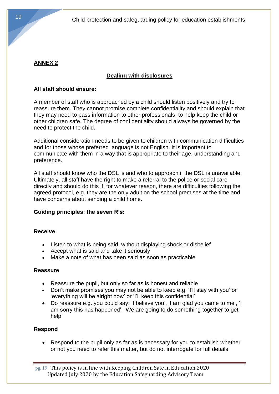# **ANNEX 2**

# **Dealing with disclosures**

## **All staff should ensure:**

A member of staff who is approached by a child should listen positively and try to reassure them. They cannot promise complete confidentiality and should explain that they may need to pass information to other professionals, to help keep the child or other children safe. The degree of confidentiality should always be governed by the need to protect the child.

Additional consideration needs to be given to children with communication difficulties and for those whose preferred language is not English. It is important to communicate with them in a way that is appropriate to their age, understanding and preference.

All staff should know who the DSL is and who to approach if the DSL is unavailable. Ultimately, all staff have the right to make a referral to the police or social care directly and should do this if, for whatever reason, there are difficulties following the agreed protocol, e.g. they are the only adult on the school premises at the time and have concerns about sending a child home.

## **Guiding principles: the seven R's:**

## **Receive**

- Listen to what is being said, without displaying shock or disbelief
- Accept what is said and take it seriously
- Make a note of what has been said as soon as practicable

## **Reassure**

- Reassure the pupil, but only so far as is honest and reliable
- Don't make promises you may not be able to keep e.g. 'I'll stay with you' or 'everything will be alright now' or 'I'll keep this confidential'
- Do reassure e.g. you could say: 'I believe you', 'I am glad you came to me', 'I am sorry this has happened'. 'We are going to do something together to get help'

## **Respond**

• Respond to the pupil only as far as is necessary for you to establish whether or not you need to refer this matter, but do not interrogate for full details

pg. 19 This policy is in line with Keeping Children Safe in Education 2020 Updated July 2020 by the Education Safeguarding Advisory Team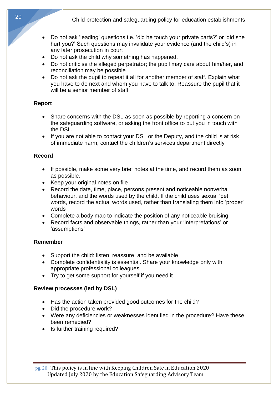- Do not ask 'leading' questions i.e. 'did he touch your private parts?' or 'did she hurt you?' Such questions may invalidate your evidence (and the child's) in any later prosecution in court
- Do not ask the child why something has happened.
- Do not criticise the alleged perpetrator; the pupil may care about him/her, and reconciliation may be possible
- Do not ask the pupil to repeat it all for another member of staff. Explain what you have to do next and whom you have to talk to. Reassure the pupil that it will be a senior member of staff

## **Report**

- Share concerns with the DSL as soon as possible by reporting a concern on the safeguarding software, or asking the front office to put you in touch with the DSL.
- If you are not able to contact your DSL or the Deputy, and the child is at risk of immediate harm, contact the children's services department directly

## **Record**

- If possible, make some very brief notes at the time, and record them as soon as possible.
- Keep your original notes on file
- Record the date, time, place, persons present and noticeable nonverbal behaviour, and the words used by the child. If the child uses sexual 'pet' words, record the actual words used, rather than translating them into 'proper' words
- Complete a body map to indicate the position of any noticeable bruising
- Record facts and observable things, rather than your 'interpretations' or 'assumptions'

#### **Remember**

- Support the child: listen, reassure, and be available
- Complete confidentiality is essential. Share your knowledge only with appropriate professional colleagues
- Try to get some support for yourself if you need it

## **Review processes (led by DSL)**

- Has the action taken provided good outcomes for the child?
- Did the procedure work?
- Were any deficiencies or weaknesses identified in the procedure? Have these been remedied?
- Is further training required?

pg. 20 This policy is in line with Keeping Children Safe in Education 2020 Updated July 2020 by the Education Safeguarding Advisory Team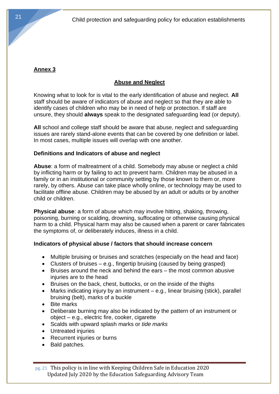# **Annex 3**

# **Abuse and Neglect**

Knowing what to look for is vital to the early identification of abuse and neglect. **All** staff should be aware of indicators of abuse and neglect so that they are able to identify cases of children who may be in need of help or protection. If staff are unsure, they should **always** speak to the designated safeguarding lead (or deputy).

**All** school and college staff should be aware that abuse, neglect and safeguarding issues are rarely stand-alone events that can be covered by one definition or label. In most cases, multiple issues will overlap with one another.

## **Definitions and Indicators of abuse and neglect**

**Abuse**: a form of maltreatment of a child. Somebody may abuse or neglect a child by inflicting harm or by failing to act to prevent harm. Children may be abused in a family or in an institutional or community setting by those known to them or, more rarely, by others. Abuse can take place wholly online, or technology may be used to facilitate offline abuse. Children may be abused by an adult or adults or by another child or children.

**Physical abuse**: a form of abuse which may involve hitting, shaking, throwing, poisoning, burning or scalding, drowning, suffocating or otherwise causing physical harm to a child. Physical harm may also be caused when a parent or carer fabricates the symptoms of, or deliberately induces, illness in a child.

# **Indicators of physical abuse / factors that should increase concern**

- Multiple bruising or bruises and scratches (especially on the head and face)
- Clusters of bruises  $-e.g.,$  fingertip bruising (caused by being grasped)
- Bruises around the neck and behind the ears the most common abusive injuries are to the head
- Bruises on the back, chest, buttocks, or on the inside of the thighs
- Marks indicating injury by an instrument e.g., linear bruising (stick), parallel bruising (belt), marks of a buckle
- Bite marks
- Deliberate burning may also be indicated by the pattern of an instrument or object – e.g., electric fire, cooker, cigarette
- Scalds with upward splash marks or *tide marks*
- Untreated injuries
- Recurrent injuries or burns
- Bald patches.

pg. 21 This policy is in line with Keeping Children Safe in Education 2020 Updated July 2020 by the Education Safeguarding Advisory Team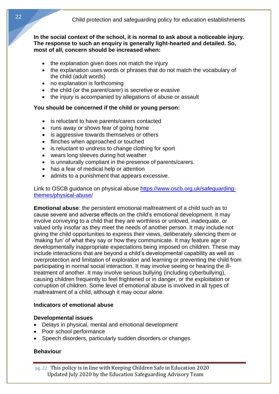**In the social context of the school, it is normal to ask about a noticeable injury. The response to such an enquiry is generally light-hearted and detailed. So, most of all, concern should be increased when:** 

- the explanation given does not match the injury
- the explanation uses words or phrases that do not match the vocabulary of the child (adult words)
- no explanation is forthcoming
- the child (or the parent/carer) is secretive or evasive
- the injury is accompanied by allegations of abuse or assault

#### **You should be concerned if the child or young person:**

- is reluctant to have parents/carers contacted
- runs away or shows fear of going home
- is aggressive towards themselves or others
- flinches when approached or touched
- is reluctant to undress to change clothing for sport
- wears long sleeves during hot weather
- is unnaturally compliant in the presence of parents/carers.
- has a fear of medical help or attention
- admits to a punishment that appears excessive.

Link to OSCB guidance on physical abuse [https://www.oscb.org.uk/safeguarding](https://www.oscb.org.uk/safeguarding-themes/physical-abuse/)[themes/physical-abuse/](https://www.oscb.org.uk/safeguarding-themes/physical-abuse/)

**Emotional abuse**: the persistent emotional maltreatment of a child such as to cause severe and adverse effects on the child's emotional development. It may involve conveying to a child that they are worthless or unloved, inadequate, or valued only insofar as they meet the needs of another person. It may include not giving the child opportunities to express their views, deliberately silencing them or 'making fun' of what they say or how they communicate. It may feature age or developmentally inappropriate expectations being imposed on children. These may include interactions that are beyond a child's developmental capability as well as overprotection and limitation of exploration and learning or preventing the child from participating in normal social interaction. It may involve seeing or hearing the illtreatment of another. It may involve serious bullying (including cyberbullying), causing children frequently to feel frightened or in danger, or the exploitation or corruption of children. Some level of emotional abuse is involved in all types of maltreatment of a child, although it may occur alone.

## **Indicators of emotional abuse**

#### **Developmental issues**

- Delays in physical, mental and emotional development
- Poor school performance
- Speech disorders, particularly sudden disorders or changes.

## **Behaviour**

pg. 22 This policy is in line with Keeping Children Safe in Education 2020 Updated July 2020 by the Education Safeguarding Advisory Team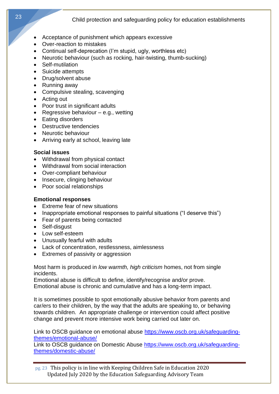- Acceptance of punishment which appears excessive
- Over-reaction to mistakes
- Continual self-deprecation (I'm stupid, ugly, worthless etc)
- Neurotic behaviour (such as rocking, hair-twisting, thumb-sucking)
- Self-mutilation
- Suicide attempts
- Drug/solvent abuse
- Running away
- Compulsive stealing, scavenging
- Acting out
- Poor trust in significant adults
- Regressive behaviour e.g., wetting
- Eating disorders
- Destructive tendencies
- Neurotic behaviour
- Arriving early at school, leaving late

## **Social issues**

- Withdrawal from physical contact
- Withdrawal from social interaction
- Over-compliant behaviour
- Insecure, clinging behaviour
- Poor social relationships

# **Emotional responses**

- Extreme fear of new situations
- Inappropriate emotional responses to painful situations ("I deserve this")
- Fear of parents being contacted
- Self-disgust
- Low self-esteem
- Unusually fearful with adults
- Lack of concentration, restlessness, aimlessness
- Extremes of passivity or aggression

Most harm is produced in *low warmth, high criticism* homes, not from single incidents.

Emotional abuse is difficult to define, identify/recognise and/or prove. Emotional abuse is chronic and cumulative and has a long-term impact.

It is sometimes possible to spot emotionally abusive behavior from parents and car/ers to their children, by the way that the adults are speaking to, or behaving towards children. An appropriate challenge or intervention could affect positive change and prevent more intensive work being carried out later on.

Link to OSCB guidance on emotional abuse [https://www.oscb.org.uk/safeguarding](https://www.oscb.org.uk/safeguarding-themes/emotional-abuse/)[themes/emotional-abuse/](https://www.oscb.org.uk/safeguarding-themes/emotional-abuse/)

Link to OSCB guidance on Domestic Abuse [https://www.oscb.org.uk/safeguarding](https://www.oscb.org.uk/safeguarding-themes/domestic-abuse/)[themes/domestic-abuse/](https://www.oscb.org.uk/safeguarding-themes/domestic-abuse/)

pg. 23 This policy is in line with Keeping Children Safe in Education 2020 Updated July 2020 by the Education Safeguarding Advisory Team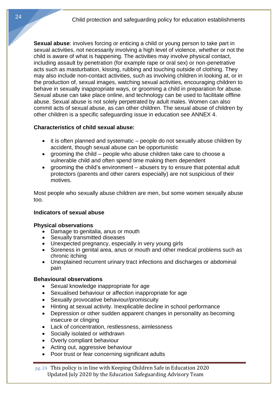**Sexual abuse**: involves forcing or enticing a child or young person to take part in sexual activities, not necessarily involving a high level of violence, whether or not the child is aware of what is happening. The activities may involve physical contact, including assault by penetration (for example rape or oral sex) or non-penetrative acts such as masturbation, kissing, rubbing and touching outside of clothing. They may also include non-contact activities, such as involving children in looking at, or in the production of, sexual images, watching sexual activities, encouraging children to behave in sexually inappropriate ways, or grooming a child in preparation for abuse. Sexual abuse can take place online, and technology can be used to facilitate offline abuse. Sexual abuse is not solely perpetrated by adult males. Women can also commit acts of sexual abuse, as can other children. The sexual abuse of children by other children is a specific safeguarding issue in education see ANNEX 4.

## **Characteristics of child sexual abuse:**

- it is often planned and systematic people do not sexually abuse children by accident, though sexual abuse can be opportunistic
- grooming the child people who abuse children take care to choose a vulnerable child and often spend time making them dependent
- grooming the child's environment abusers try to ensure that potential adult protectors (parents and other carers especially) are not suspicious of their motives.

Most people who sexually abuse children are men, but some women sexually abuse too.

## **Indicators of sexual abuse**

#### **Physical observations**

- Damage to genitalia, anus or mouth
- Sexually transmitted diseases
- Unexpected pregnancy, especially in very young girls
- Soreness in genital area, anus or mouth and other medical problems such as chronic itching
- Unexplained recurrent urinary tract infections and discharges or abdominal pain

#### **Behavioural observations**

- Sexual knowledge inappropriate for age
- Sexualised behaviour or affection inappropriate for age
- Sexually provocative behaviour/promiscuity
- Hinting at sexual activity. Inexplicable decline in school performance
- Depression or other sudden apparent changes in personality as becoming insecure or clinging
- Lack of concentration, restlessness, aimlessness
- Socially isolated or withdrawn
- Overly compliant behaviour
- Acting out, aggressive behaviour
- Poor trust or fear concerning significant adults

pg. 24 This policy is in line with Keeping Children Safe in Education 2020 Updated July 2020 by the Education Safeguarding Advisory Team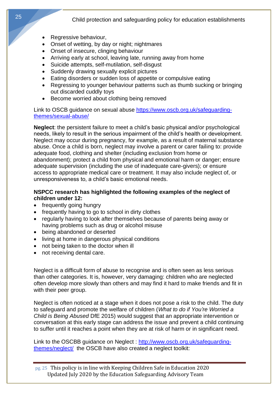- Regressive behaviour,
- Onset of wetting, by day or night; nightmares
- Onset of insecure, clinging behaviour
- Arriving early at school, leaving late, running away from home
- Suicide attempts, self-mutilation, self-disgust
- Suddenly drawing sexually explicit pictures
- Eating disorders or sudden loss of appetite or compulsive eating
- Regressing to younger behaviour patterns such as thumb sucking or bringing out discarded cuddly toys
- Become worried about clothing being removed

Link to OSCB guidance on sexual abuse [https://www.oscb.org.uk/safeguarding](https://www.oscb.org.uk/safeguarding-themes/sexual-abuse/)[themes/sexual-abuse/](https://www.oscb.org.uk/safeguarding-themes/sexual-abuse/)

**Neglect**: the persistent failure to meet a child's basic physical and/or psychological needs, likely to result in the serious impairment of the child's health or development. Neglect may occur during pregnancy, for example, as a result of maternal substance abuse. Once a child is born, neglect may involve a parent or carer failing to: provide adequate food, clothing and shelter (including exclusion from home or abandonment); protect a child from physical and emotional harm or danger; ensure adequate supervision (including the use of inadequate care-givers); or ensure access to appropriate medical care or treatment. It may also include neglect of, or unresponsiveness to, a child's basic emotional needs.

#### **NSPCC research has highlighted the following examples of the neglect of children under 12:**

- frequently going hungry
- frequently having to go to school in dirty clothes
- regularly having to look after themselves because of parents being away or having problems such as drug or alcohol misuse
- 
- 
- not being taken to the doctor when ill
- not receiving dental care.

Neglect is a difficult form of abuse to recognise and is often seen as less serious than other categories. It is, however, very damaging: children who are neglected often develop more slowly than others and may find it hard to make friends and fit in with their peer group.

Neglect is often noticed at a stage when it does not pose a risk to the child. The duty to safeguard and promote the welfare of children (*What to do if You're Worried a Child is Being Abused* DfE 2015) would suggest that an appropriate intervention or conversation at this early stage can address the issue and prevent a child continuing to suffer until it reaches a point when they are at risk of harm or in significant need.

Link to the OSCBB guidance on Neglect : [http://www.oscb.org.uk/safeguarding](http://www.oscb.org.uk/safeguarding-themes/neglect/)[themes/neglect/](http://www.oscb.org.uk/safeguarding-themes/neglect/) the OSCB have also created a neglect toolkit:

- 
- 
- being abandoned or deserted
- living at home in dangerous physical conditions

25

pg. 25 This policy is in line with Keeping Children Safe in Education 2020 Updated July 2020 by the Education Safeguarding Advisory Team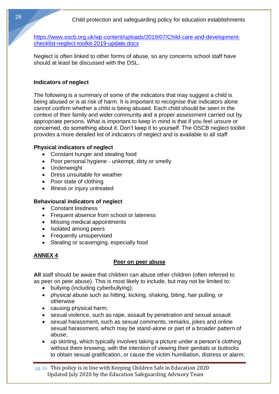[https://www.oscb.org.uk/wp-content/uploads/2019/07/Child-care-and-development](https://www.oscb.org.uk/wp-content/uploads/2019/07/Child-care-and-development-checklist-neglect-toolkit-2019-update.docx)[checklist-neglect-toolkit-2019-update.docx](https://www.oscb.org.uk/wp-content/uploads/2019/07/Child-care-and-development-checklist-neglect-toolkit-2019-update.docx)

Neglect is often linked to other forms of abuse, so any concerns school staff have should at least be discussed with the DSL.

## **Indicators of neglect**

The following is a summary of some of the indicators that may suggest a child is being abused or is at risk of harm. It is important to recognise that indicators alone cannot confirm whether a child is being abused. Each child should be seen in the context of their family and wider community and a proper assessment carried out by appropriate persons. What is important to keep in mind is that if you feel unsure or concerned, do something about it. Don't keep it to yourself. The OSCB neglect toolkit provides a more detailed list of indicators of neglect and is available to all staff

## **Physical indicators of neglect**

- Constant hunger and stealing food
- Poor personal hygiene unkempt, dirty or smelly
- Underweight
- Dress unsuitable for weather
- Poor state of clothing
- Illness or injury untreated

# **Behavioural indicators of neglect**

- Constant tiredness
- Frequent absence from school or lateness
- Missing medical appointments
- Isolated among peers
- Frequently unsupervised
- Stealing or scavenging, especially food

# **ANNEX 4**

## **Peer on peer abuse**

**All** staff should be aware that children can abuse other children (often referred to as peer on peer abuse). This is most likely to include, but may not be limited to:

- bullying (including cyberbullying);
- physical abuse such as hitting, kicking, shaking, biting, hair pulling, or otherwise
- causing physical harm;
- sexual violence, such as rape, assault by penetration and sexual assault
- sexual harassment, such as sexual comments, remarks, jokes and online sexual harassment, which may be stand-alone or part of a broader pattern of abuse;
- up skirting, which typically involves taking a picture under a person's clothing without them knowing, with the intention of viewing their genitals or buttocks to obtain sexual gratification, or cause the victim humiliation, distress or alarm;

pg. 26 This policy is in line with Keeping Children Safe in Education 2020 Updated July 2020 by the Education Safeguarding Advisory Team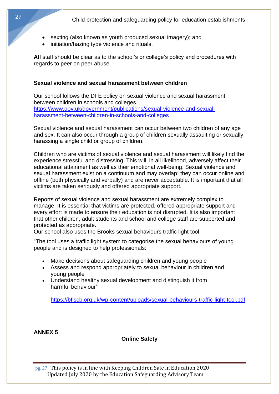- sexting (also known as youth produced sexual imagery); and
- initiation/hazing type violence and rituals.

All staff should be clear as to the school's or college's policy and procedures with regards to peer on peer abuse.

#### **Sexual violence and sexual harassment between children**

Our school follows the DFE policy on sexual violence and sexual harassment between children in schools and colleges. [https://www.gov.uk/government/publications/sexual-violence-and-sexual](https://www.gov.uk/government/publications/sexual-violence-and-sexual-harassment-between-children-in-schools-and-colleges)[harassment-between-children-in-schools-and-colleges](https://www.gov.uk/government/publications/sexual-violence-and-sexual-harassment-between-children-in-schools-and-colleges)

Sexual violence and sexual harassment can occur between two children of any age and sex. It can also occur through a group of children sexually assaulting or sexually harassing a single child or group of children.

Children who are victims of sexual violence and sexual harassment will likely find the experience stressful and distressing. This will, in all likelihood, adversely affect their educational attainment as well as their emotional well-being. Sexual violence and sexual harassment exist on a continuum and may overlap; they can occur online and offline (both physically and verbally) and are never acceptable. It is important that all victims are taken seriously and offered appropriate support.

Reports of sexual violence and sexual harassment are extremely complex to manage. It is essential that victims are protected, offered appropriate support and every effort is made to ensure their education is not disrupted. It is also important that other children, adult students and school and college staff are supported and protected as appropriate.

Our school also uses the Brooks sexual behaviours traffic light tool.

"The tool uses a traffic light system to categorise the sexual behaviours of young people and is designed to help professionals:

- Make decisions about safeguarding children and young people
- Assess and respond appropriately to sexual behaviour in children and young people
- Understand healthy sexual development and distinguish it from harmful behaviour"

<https://bflscb.org.uk/wp-content/uploads/sexual-behaviours-traffic-light-tool.pdf>

**ANNEX 5**

**Online Safety**

pg. 27 This policy is in line with Keeping Children Safe in Education 2020 Updated July 2020 by the Education Safeguarding Advisory Team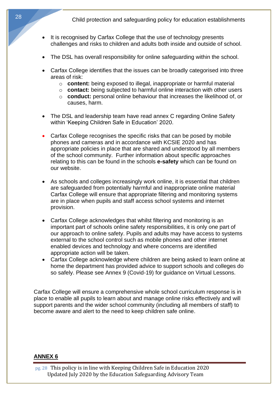- It is recognised by Carfax College that the use of technology presents challenges and risks to children and adults both inside and outside of school.
- The DSL has overall responsibility for online safeguarding within the school.
- Carfax College identifies that the issues can be broadly categorised into three areas of risk:
	- o **content:** being exposed to illegal, inappropriate or harmful material
	- o **contact:** being subjected to harmful online interaction with other users
	- o **conduct:** personal online behaviour that increases the likelihood of, or causes, harm.
- The DSL and leadership team have read annex C regarding Online Safety within 'Keeping Children Safe in Education' 2020.
- Carfax College recognises the specific risks that can be posed by mobile phones and cameras and in accordance with KCSIE 2020 and has appropriate policies in place that are shared and understood by all members of the school community. Further information about specific approaches relating to this can be found in the schools **e-safety** which can be found on our website.
- As schools and colleges increasingly work online, it is essential that children are safeguarded from potentially harmful and inappropriate online material Carfax College will ensure that appropriate filtering and monitoring systems are in place when pupils and staff access school systems and internet provision.
- Carfax College acknowledges that whilst filtering and monitoring is an important part of schools online safety responsibilities, it is only one part of our approach to online safety. Pupils and adults may have access to systems external to the school control such as mobile phones and other internet enabled devices and technology and where concerns are identified appropriate action will be taken.
- Carfax College acknowledge where children are being asked to learn online at home the department has provided advice to support schools and colleges do so safely. Please see Annex 9 (Covid-19) for guidance on Virtual Lessons.

Carfax College will ensure a comprehensive whole school curriculum response is in place to enable all pupils to learn about and manage online risks effectively and will support parents and the wider school community (including all members of staff) to become aware and alert to the need to keep children safe online.

#### **ANNEX 6**

pg. 28 This policy is in line with Keeping Children Safe in Education 2020 Updated July 2020 by the Education Safeguarding Advisory Team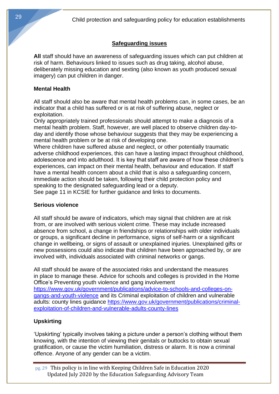# **Safeguarding issues**

**All** staff should have an awareness of safeguarding issues which can put children at risk of harm. Behaviours linked to issues such as drug taking, alcohol abuse, deliberately missing education and sexting (also known as youth produced sexual imagery) can put children in danger.

#### **Mental Health**

All staff should also be aware that mental health problems can, in some cases, be an indicator that a child has suffered or is at risk of suffering abuse, neglect or exploitation.

Only appropriately trained professionals should attempt to make a diagnosis of a mental health problem. Staff, however, are well placed to observe children day-today and identify those whose behaviour suggests that they may be experiencing a mental health problem or be at risk of developing one.

Where children have suffered abuse and neglect, or other potentially traumatic adverse childhood experiences, this can have a lasting impact throughout childhood, adolescence and into adulthood. It is key that staff are aware of how these children's experiences, can impact on their mental health, behaviour and education. If staff have a mental health concern about a child that is also a safeguarding concern, immediate action should be taken, following their child protection policy and speaking to the designated safeguarding lead or a deputy.

See page 11 in KCSIE for further guidance and links to documents.

## **Serious violence**

All staff should be aware of indicators, which may signal that children are at risk from, or are involved with serious violent crime. These may include increased absence from school, a change in friendships or relationships with older individuals or groups, a significant decline in performance, signs of self-harm or a significant change in wellbeing, or signs of assault or unexplained injuries. Unexplained gifts or new possessions could also indicate that children have been approached by, or are involved with, individuals associated with criminal networks or gangs.

All staff should be aware of the associated risks and understand the measures in place to manage these. Advice for schools and colleges is provided in the Home Office's Preventing youth violence and gang involvement [https://www.gov.uk/government/publications/advice-to-schools-and-colleges-on](https://www.gov.uk/government/publications/advice-to-schools-and-colleges-on-gangs-and-youth-violence)[gangs-and-youth-violence](https://www.gov.uk/government/publications/advice-to-schools-and-colleges-on-gangs-and-youth-violence) and its Criminal exploitation of children and vulnerable adults: county lines guidance [https://www.gov.uk/government/publications/criminal](https://www.gov.uk/government/publications/criminal-exploitation-of-children-and-vulnerable-adults-county-lines)[exploitation-of-children-and-vulnerable-adults-county-lines](https://www.gov.uk/government/publications/criminal-exploitation-of-children-and-vulnerable-adults-county-lines)

## **Upskirting**

'Upskirting' typically involves taking a picture under a person's clothing without them knowing, with the intention of viewing their genitals or buttocks to obtain sexual gratification, or cause the victim humiliation, distress or alarm. It is now a criminal offence. Anyone of any gender can be a victim.

pg. 29 This policy is in line with Keeping Children Safe in Education 2020 Updated July 2020 by the Education Safeguarding Advisory Team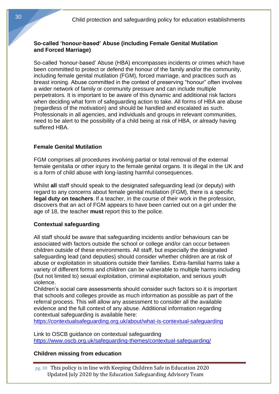## **So-called 'honour-based' Abuse (including Female Genital Mutilation and Forced Marriage)**

So-called 'honour-based' Abuse (HBA) encompasses incidents or crimes which have been committed to protect or defend the honour of the family and/or the community, including female genital mutilation (FGM), forced marriage, and practices such as breast ironing. Abuse committed in the context of preserving "honour" often involves a wider network of family or community pressure and can include multiple perpetrators. It is important to be aware of this dynamic and additional risk factors when deciding what form of safeguarding action to take. All forms of HBA are abuse (regardless of the motivation) and should be handled and escalated as such. Professionals in all agencies, and individuals and groups in relevant communities, need to be alert to the possibility of a child being at risk of HBA, or already having suffered HBA.

## **Female Genital Mutilation**

FGM comprises all procedures involving partial or total removal of the external female genitalia or other injury to the female genital organs. It is illegal in the UK and is a form of child abuse with long-lasting harmful consequences.

Whilst **all** staff should speak to the designated safeguarding lead (or deputy) with regard to any concerns about female genital mutilation (FGM), there is a specific **legal duty on teachers**. If a teacher, in the course of their work in the profession, discovers that an act of FGM appears to have been carried out on a girl under the age of 18, the teacher **must** report this to the police.

## **Contextual safeguarding**

All staff should be aware that safeguarding incidents and/or behaviours can be associated with factors outside the school or college and/or can occur between children outside of these environments. All staff, but especially the designated safeguarding lead (and deputies) should consider whether children are at risk of abuse or exploitation in situations outside their families. Extra-familial harms take a variety of different forms and children can be vulnerable to multiple harms including (but not limited to) sexual exploitation, criminal exploitation, and serious youth violence.

Children's social care assessments should consider such factors so it is important that schools and colleges provide as much information as possible as part of the referral process. This will allow any assessment to consider all the available evidence and the full context of any abuse. Additional information regarding contextual safeguarding is available here:

<https://contextualsafeguarding.org.uk/about/what-is-contextual-safeguarding>

Link to OSCB guidance on contextual safeguarding <https://www.oscb.org.uk/safeguarding-themes/contextual-safeguarding/>

## **Children missing from education**

pg. 30 This policy is in line with Keeping Children Safe in Education 2020 Updated July 2020 by the Education Safeguarding Advisory Team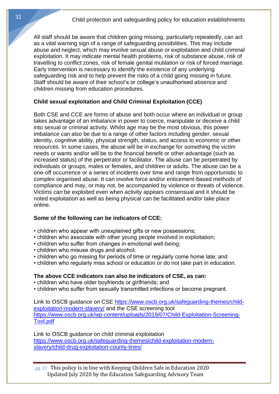All staff should be aware that children going missing, particularly repeatedly, can act as a vital warning sign of a range of safeguarding possibilities. This may include abuse and neglect, which may involve sexual abuse or exploitation and child criminal exploitation. It may indicate mental health problems, risk of substance abuse, risk of travelling to conflict zones, risk of female genital mutilation or risk of forced marriage. Early intervention is necessary to identify the existence of any underlying safeguarding risk and to help prevent the risks of a child going missing in future. Staff should be aware of their school's or college's unauthorised absence and children missing from education procedures.

# **Child sexual exploitation and Child Criminal Exploitation (CCE)**

Both CSE and CCE are forms of abuse and both occur where an individual or group takes advantage of an imbalance in power to coerce, manipulate or deceive a child into sexual or criminal activity. Whilst age may be the most obvious, this power imbalance can also be due to a range of other factors including gender, sexual identity, cognitive ability, physical strength, status, and access to economic or other resources. In some cases, the abuse will be in exchange for something the victim needs or wants and/or will be to the financial benefit or other advantage (such as increased status) of the perpetrator or facilitator. The abuse can be perpetrated by individuals or groups, males or females, and children or adults. The abuse can be a one-off occurrence or a series of incidents over time and range from opportunistic to complex organised abuse. It can involve force and/or enticement-based methods of compliance and may, or may not, be accompanied by violence or threats of violence. Victims can be exploited even when activity appears consensual and it should be noted exploitation as well as being physical can be facilitated and/or take place online.

## **Some of the following can be indicators of CCE:**

- children who appear with unexplained gifts or new possessions;
- children who associate with other young people involved in exploitation;
- children who suffer from changes in emotional well-being;
- children who misuse drugs and alcohol;
- children who go missing for periods of time or regularly come home late; and
- children who regularly miss school or education or do not take part in education.

## **The above CCE indicators can also be indicators of CSE, as can:**

- children who have older boyfriends or girlfriends; and
- children who suffer from sexually transmitted infections or become pregnant.

Link to OSCB guidance on CSE [https://www.oscb.org.uk/safeguarding-themes/child](https://www.oscb.org.uk/safeguarding-themes/child-exploitation-modern-slavery/)[exploitation-modern-slavery/](https://www.oscb.org.uk/safeguarding-themes/child-exploitation-modern-slavery/) and the CSE screening tool [https://www.oscb.org.uk/wp-content/uploads/2019/07/Child-Exploitation-Screening-](https://www.oscb.org.uk/wp-content/uploads/2019/07/Child-Exploitation-Screening-Tool.pdf)[Tool.pdf](https://www.oscb.org.uk/wp-content/uploads/2019/07/Child-Exploitation-Screening-Tool.pdf)

Link to OSCB guidance on child criminal exploitation [https://www.oscb.org.uk/safeguarding-themes/child-exploitation-modern](https://www.oscb.org.uk/safeguarding-themes/child-exploitation-modern-slavery/child-drug-exploitation-county-lines/)[slavery/child-drug-exploitation-county-lines/](https://www.oscb.org.uk/safeguarding-themes/child-exploitation-modern-slavery/child-drug-exploitation-county-lines/)

pg. 31 This policy is in line with Keeping Children Safe in Education 2020 Updated July 2020 by the Education Safeguarding Advisory Team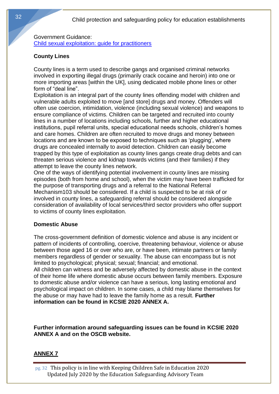Government Guidance: [Child sexual exploitation: guide for practitioners](https://www.gov.uk/government/publications/child-sexual-exploitation-definition-and-guide-for-practitioners)

# **County Lines**

County lines is a term used to describe gangs and organised criminal networks involved in exporting illegal drugs (primarily crack cocaine and heroin) into one or more importing areas [within the UK], using dedicated mobile phone lines or other form of "deal line".

Exploitation is an integral part of the county lines offending model with children and vulnerable adults exploited to move [and store] drugs and money. Offenders will often use coercion, intimidation, violence (including sexual violence) and weapons to ensure compliance of victims. Children can be targeted and recruited into county lines in a number of locations including schools, further and higher educational institutions, pupil referral units, special educational needs schools, children's homes and care homes. Children are often recruited to move drugs and money between locations and are known to be exposed to techniques such as 'plugging', where drugs are concealed internally to avoid detection. Children can easily become trapped by this type of exploitation as county lines gangs create drug debts and can threaten serious violence and kidnap towards victims (and their families) if they attempt to leave the county lines network.

One of the ways of identifying potential involvement in county lines are missing episodes (both from home and school), when the victim may have been trafficked for the purpose of transporting drugs and a referral to the National Referral Mechanism103 should be considered. If a child is suspected to be at risk of or involved in county lines, a safeguarding referral should be considered alongside consideration of availability of local services/third sector providers who offer support to victims of county lines exploitation.

## **Domestic Abuse**

The cross-government definition of domestic violence and abuse is any incident or pattern of incidents of controlling, coercive, threatening behaviour, violence or abuse between those aged 16 or over who are, or have been, intimate partners or family members regardless of gender or sexuality. The abuse can encompass but is not limited to psychological; physical; sexual; financial; and emotional. All children can witness and be adversely affected by domestic abuse in the context

of their home life where domestic abuse occurs between family members. Exposure to domestic abuse and/or violence can have a serious, long lasting emotional and psychological impact on children. In some cases, a child may blame themselves for the abuse or may have had to leave the family home as a result. **Further information can be found in KCSIE 2020 ANNEX A.**

**Further information around safeguarding issues can be found in KCSIE 2020 ANNEX A and on the OSCB website.**

# **ANNEX 7**

pg. 32 This policy is in line with Keeping Children Safe in Education 2020 Updated July 2020 by the Education Safeguarding Advisory Team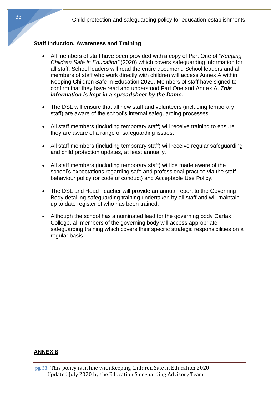## **Staff Induction, Awareness and Training**

- All members of staff have been provided with a copy of Part One of "*Keeping Children Safe in Education"* (2020) which covers safeguarding information for all staff. School leaders will read the entire document. School leaders and all members of staff who work directly with children will access Annex A within Keeping Children Safe in Education 2020. Members of staff have signed to confirm that they have read and understood Part One and Annex A. *This information is kept in a spreadsheet by the Dame.*
- The DSL will ensure that all new staff and volunteers (including temporary staff) are aware of the school's internal safeguarding processes.
- All staff members (including temporary staff) will receive training to ensure they are aware of a range of safeguarding issues.
- All staff members (including temporary staff) will receive regular safeguarding and child protection updates, at least annually.
- All staff members (including temporary staff) will be made aware of the school's expectations regarding safe and professional practice via the staff behaviour policy (or code of conduct) and Acceptable Use Policy.
- The DSL and Head Teacher will provide an annual report to the Governing Body detailing safeguarding training undertaken by all staff and will maintain up to date register of who has been trained.
- Although the school has a nominated lead for the governing body Carfax College, all members of the governing body will access appropriate safeguarding training which covers their specific strategic responsibilities on a regular basis.

#### **ANNEX 8**

pg. 33 This policy is in line with Keeping Children Safe in Education 2020 Updated July 2020 by the Education Safeguarding Advisory Team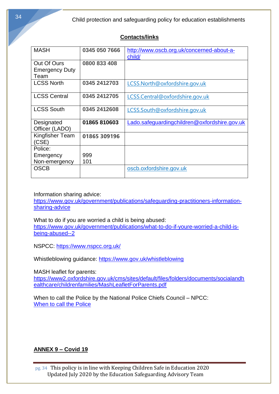# **Contacts/links**

| <b>MASH</b>                                  | 0345 050 7666 | http://www.oscb.org.uk/concerned-about-a-<br>child/ |
|----------------------------------------------|---------------|-----------------------------------------------------|
| Out Of Ours<br><b>Emergency Duty</b><br>Team | 0800 833 408  |                                                     |
| <b>LCSS North</b>                            | 0345 2412703  | LCSS.North@oxfordshire.gov.uk                       |
| <b>LCSS Central</b>                          | 0345 2412705  | LCSS.Central@oxfordshire.gov.uk                     |
| <b>LCSS South</b>                            | 0345 2412608  | LCSS.South@oxfordshire.gov.uk                       |
| Designated<br>Officer (LADO)                 | 01865810603   | Lado.safeguardingchildren@oxfordshire.gov.uk        |
| Kingfisher Team<br>(CSE)                     | 01865 309196  |                                                     |
| Police:                                      |               |                                                     |
| Emergency<br>Non-emergency                   | 999<br>101    |                                                     |
| <b>OSCB</b>                                  |               | oscb.oxfordshire.gov.uk                             |

Information sharing advice:

[https://www.gov.uk/government/publications/safeguarding-practitioners-information](https://www.gov.uk/government/publications/safeguarding-practitioners-information-sharing-advice)[sharing-advice](https://www.gov.uk/government/publications/safeguarding-practitioners-information-sharing-advice)

What to do if you are worried a child is being abused: [https://www.gov.uk/government/publications/what-to-do-if-youre-worried-a-child-is](https://www.gov.uk/government/publications/what-to-do-if-youre-worried-a-child-is-being-abused--2)[being-abused--2](https://www.gov.uk/government/publications/what-to-do-if-youre-worried-a-child-is-being-abused--2)

NSPCC:<https://www.nspcc.org.uk/>

Whistleblowing guidance:<https://www.gov.uk/whistleblowing>

MASH leaflet for parents:

[https://www2.oxfordshire.gov.uk/cms/sites/default/files/folders/documents/socialandh](https://www2.oxfordshire.gov.uk/cms/sites/default/files/folders/documents/socialandhealthcare/childrenfamilies/MashLeafletForParents.pdf) [ealthcare/childrenfamilies/MashLeafletForParents.pdf](https://www2.oxfordshire.gov.uk/cms/sites/default/files/folders/documents/socialandhealthcare/childrenfamilies/MashLeafletForParents.pdf)

When to call the Police by the National Police Chiefs Council – NPCC: When to call the Police

# **ANNEX 9 – Covid 19**

pg. 34 This policy is in line with Keeping Children Safe in Education 2020 Updated July 2020 by the Education Safeguarding Advisory Team